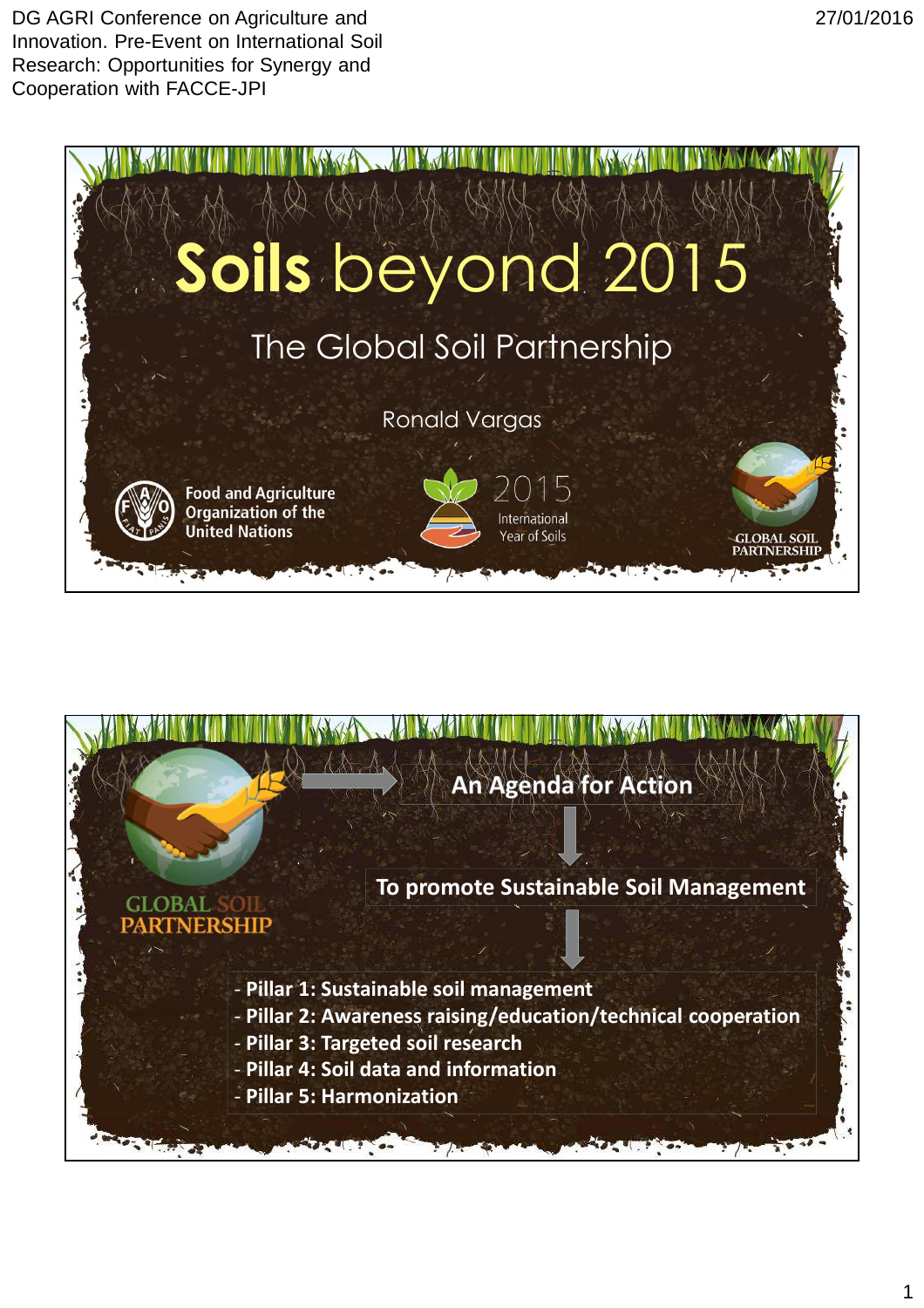DG AGRI Conference on Agriculture and Innovation. Pre-Event on International Soil Research: Opportunities for Synergy and Cooperation with FACCE-JPI





27/01/2016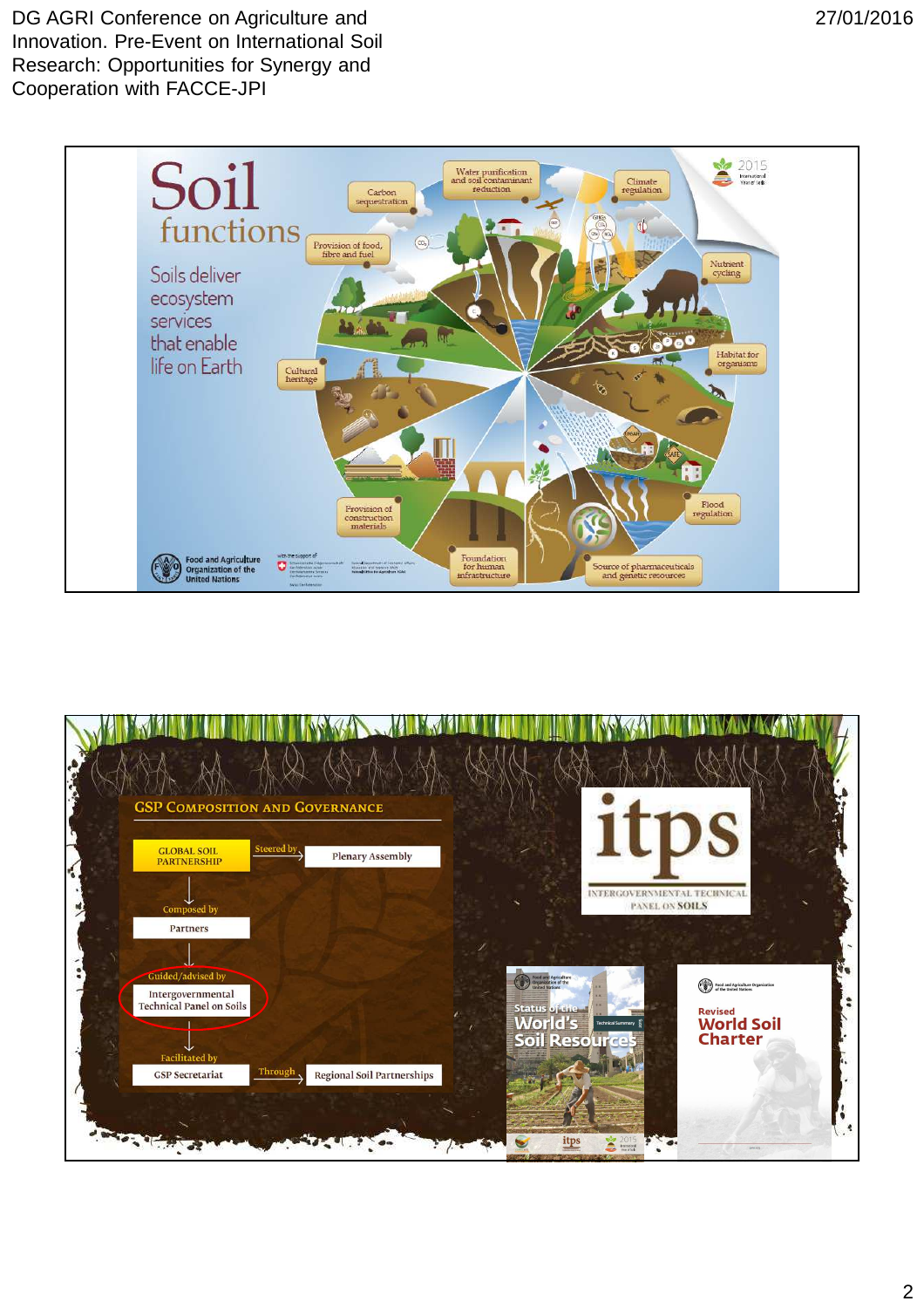

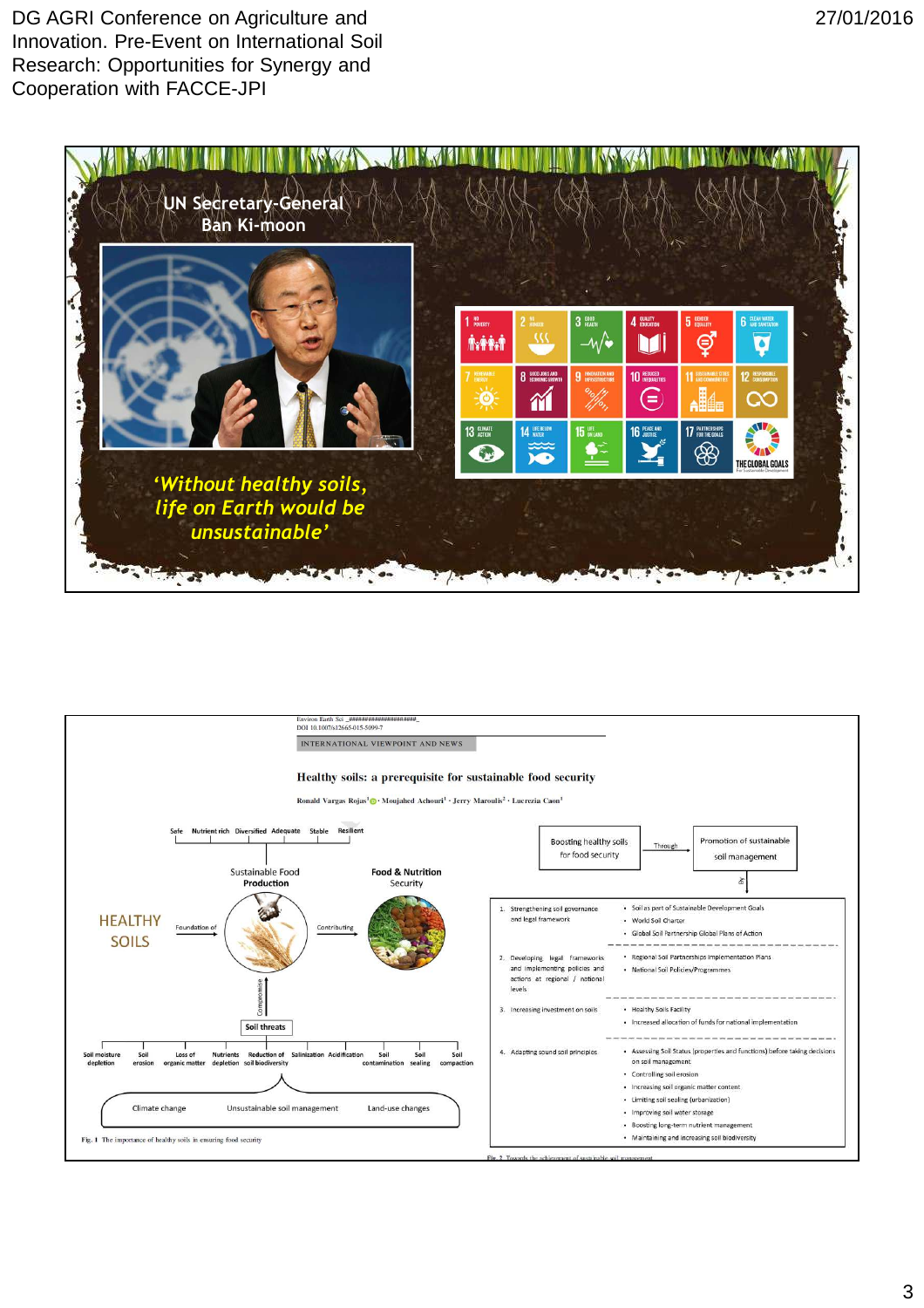